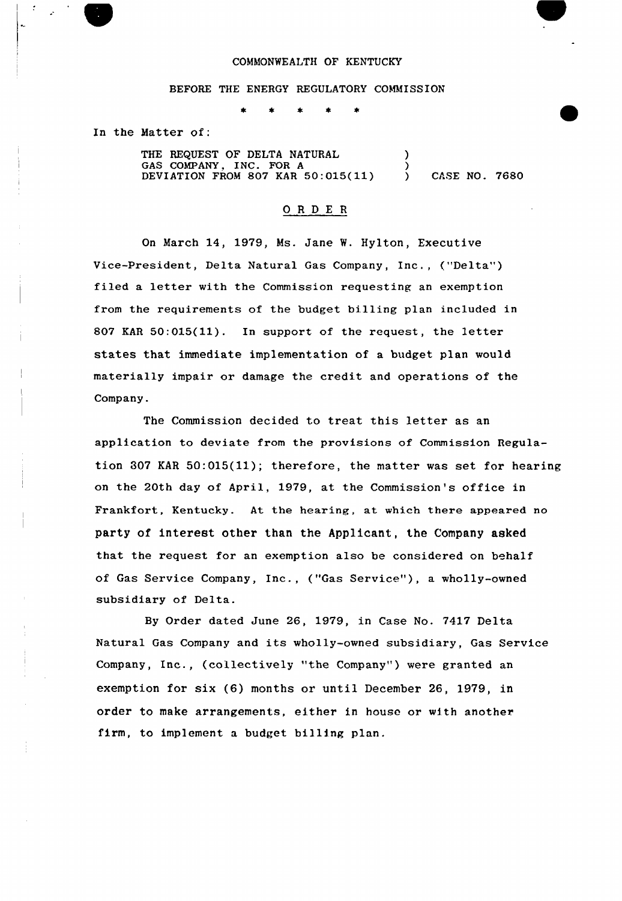## COMMONWEALTH OF KENTUCKY

## BEFORE THE ENERGY REGULATORY COMMISSION

In the Matter of:

THE REQUEST OF DELTA NATURAL GAS COMPANY, INC. FOR <sup>A</sup> DEVIATION FROM 807 KAR  $50:015(11)$ )  $\left\{ \right\}$ ) CASE NO. 7680

## ORDER

On March 14, 1979, Ms. Jane %. Hylton, Executive Vice-President, Delta Natural Gas Company, Inc., ("Delta" ) filed a letter with the Commission requesting an exemption from the requirements of the budget billing plan included in 807 KAR 50:015(11). In support of the request, the letter states that immediate implementation of a budget plan would materially impair or damage the credit and operations of the Company.

The Commission decided to treat this letter as an application to deviate from the provisions of Commission Regulation 307 KAR 50:015(11); therefore, the matter was set for hearing on the 20th day of April, 1979, at the Commission's office in Frankfort, Kentucky. At the hearing, at which there appeared no party of interest other than the Applicant, the Company asked that the request for an exemption also be considered on behalf of Gas Service Company, Inc., ("Gas Service"), a wholly-owned subsidiary of Delta.

By Order dated June 26, 1979, in Case No. 7417 Delta Natural Gas Company and its wholly-owned subsidiary, Gas Service Company, Inc., (collectively "the Company") were granted an exemption for six (6) months or until December 26, 1979, in order to make arrangements, either in house or with another firm, to implement a budget billing plan.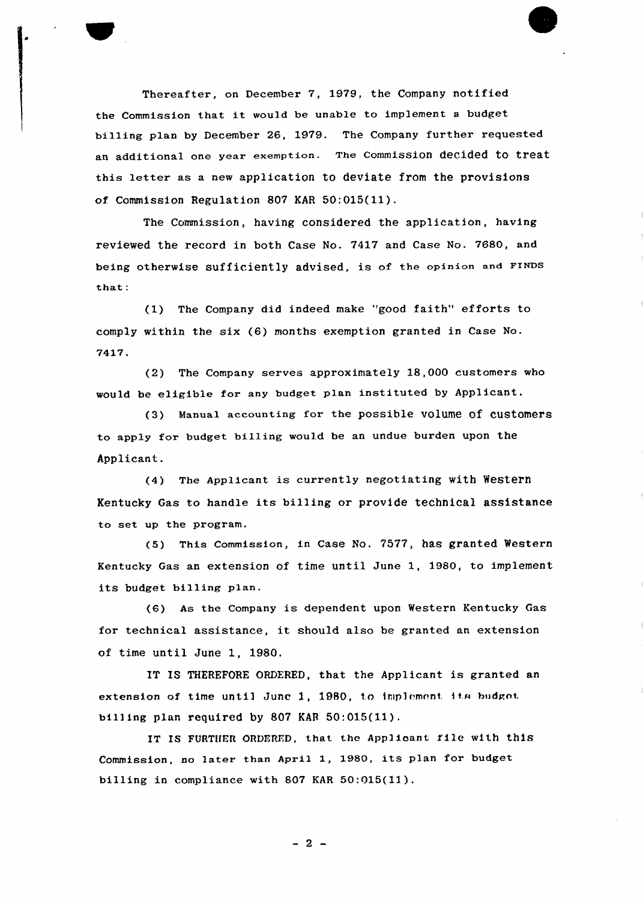

Thereafter, on December 7, 1979, the Company notified the Commission that it would be unable to implement <sup>a</sup> budget billing plan by December 26, 1979. The Company further requested an additional one year exemption. The commission decided to treat this letter as <sup>a</sup> new application to deviate from the provisions of. Commission Regulation 807 KAR 50:015(11).

The Commission, having considered the application, having reviewed the record in both Case No. 7417 and Case No. 7680, and being otherwise sufficiently advised, is of the opinion and FINDs that:

(1) The Company did indeed make 'good faith" efforts to comply within the six (6) months exemption granted in Case No. 7417.

(2) The Company serves approximately 18,000 customers who would be eligible for any budget plan instituted by Applicant.

(3) Manual accounting for the possible volume of customers to apply for budget billing would be an undue burden upon the Applicant.

(4) The Applicant is currently negotiating with Western Kentucky Gas to handle its billing or provide technical assistance to set up the program.

(5) This Commission, in Case No. 7577, has granted Western Kentucky Gas an extension of time until June 1, 1980, to implement its budget billing plan.

(6) As the Company is dependent upon Western Kentucky Gas for technical assistance, it should also be granted an extension of time until June 1, 1980.

IT IS THEREFORE ORDERED, that the Applicant is granted an extension of time until Junc 1, 1980, to implement its budget billing plan required by 807 KAR 50:015(11).

IT IS FURTHER ORDERED, that the Applicant file with this Commission, no later than April 1, 1980, its plan for budget billing in compliance with 807 KAR 50:015(ll).

 $-2 -$